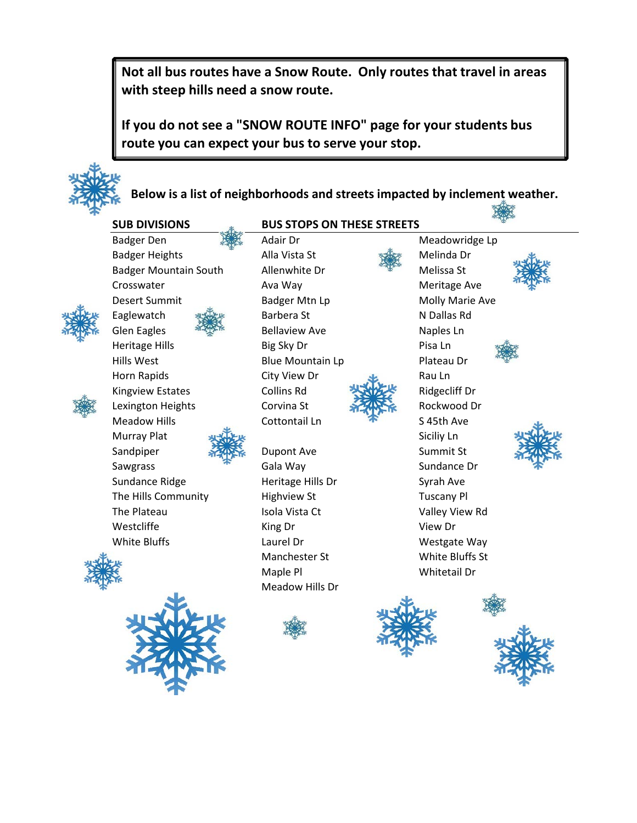**Not all bus routes have a Snow Route. Only routes that travel in areas with steep hills need a snow route.** 

**If you do not see a "SNOW ROUTE INFO" page for your students bus route you can expect your bus to serve your stop.**



**Below is a list of neighborhoods and streets impacted by inclement weather.**

#### **SUB DIVISIONS**

Badger Den **Adair Dr** Meadowridge Lp Badger Heights **Alla Vista St** Melinda Dr Badger Mountain South Allenwhite Dr **Manufacture Melissa St** Crosswater **Ava Way** Ava Way **Meritage Ave** Desert Summit **Badger Mtn Lp** Molly Marie Ave Eaglewatch **Barbera St** N Dallas Rd Glen Eagles  $\frac{2\pi\sqrt{3}}{2\pi\sqrt{3}}$  Bellaview Ave **Naples Ln** Heritage Hills **Big Sky Dr** Pisa Ln Hills West **Blue Mountain Lp** Plateau Dr Horn Rapids City View Dr Sau Ln Kingview Estates Collins Rd Ridgecliff Dr Lexington Heights Corvina St **Rockwood Drawing Corvina St** Rockwood Dr Meadow Hills **Cottontail Ln** The S45th Ave Murray Plat Siciliy Ln Sandpiper **Summit St** Dupont Ave Summit St Sawgrass **Sawgrass** Gala Way **Sundance Dr** Sundance Ridge **Heritage Hills Dr** Syrah Ave The Hills Community **Highview St** Tuscany Pl The Plateau **Isola Vista Ct** Valley View Rd Westcliffe **King Dr** King Dr View Dr





#### **BUS STOPS ON THESE STREETS**



White Bluffs **Laurel Dr** Caurel Dr Westgate Way Manchester St White Bluffs St Maple Pl Whitetail Dr Meadow Hills Dr











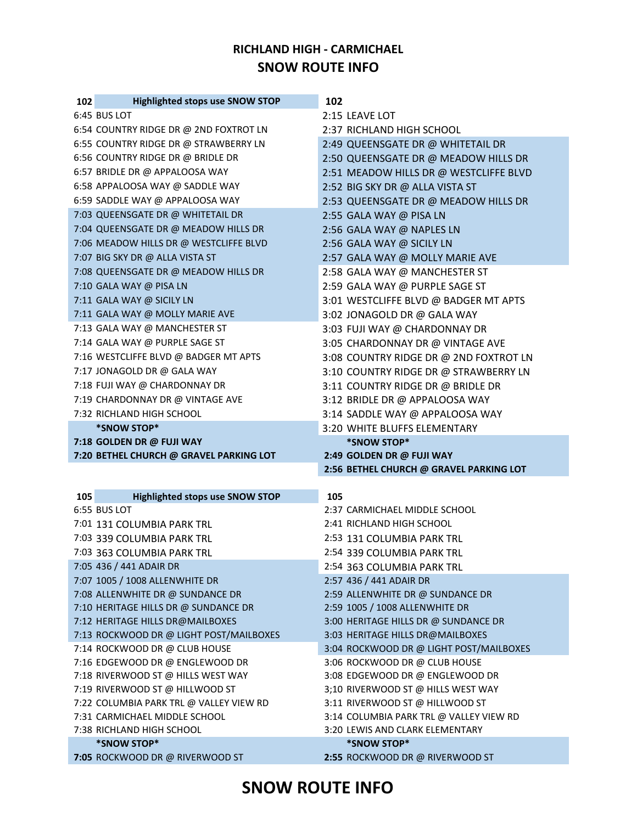#### **RICHLAND HIGH - CARMICHAEL SNOW ROUTE INFO**

| 102 | <b>Highlighted stops use SNOW STOP</b>                                   | 102                                                         |
|-----|--------------------------------------------------------------------------|-------------------------------------------------------------|
|     | 6:45 BUS LOT                                                             | 2:15 LEAVE LOT                                              |
|     | 6:54 COUNTRY RIDGE DR @ 2ND FOXTROT LN                                   | 2:37 RICHLAND HIGH SCHOOL                                   |
|     | 6:55 COUNTRY RIDGE DR @ STRAWBERRY LN                                    | 2:49 QUEENSGATE DR @ WHITETAIL DR                           |
|     | 6:56 COUNTRY RIDGE DR @ BRIDLE DR                                        | 2:50 QUEENSGATE DR @ MEADOW HILLS DR                        |
|     | 6:57 BRIDLE DR @ APPALOOSA WAY                                           | 2:51 MEADOW HILLS DR @ WESTCLIFFE BLVD                      |
|     | 6:58 APPALOOSA WAY @ SADDLE WAY                                          | 2:52 BIG SKY DR @ ALLA VISTA ST                             |
|     | 6:59 SADDLE WAY @ APPALOOSA WAY                                          | 2:53 QUEENSGATE DR @ MEADOW HILLS DR                        |
|     | 7:03 QUEENSGATE DR @ WHITETAIL DR                                        | 2:55 GALA WAY @ PISA LN                                     |
|     | 7:04 QUEENSGATE DR @ MEADOW HILLS DR                                     | 2:56 GALA WAY @ NAPLES LN                                   |
|     | 7:06 MEADOW HILLS DR @ WESTCLIFFE BLVD                                   | 2:56 GALA WAY @ SICILY LN                                   |
|     | 7:07 BIG SKY DR @ ALLA VISTA ST                                          | 2:57 GALA WAY @ MOLLY MARIE AVE                             |
|     | 7:08 QUEENSGATE DR @ MEADOW HILLS DR                                     | 2:58 GALA WAY @ MANCHESTER ST                               |
|     | 7:10 GALA WAY @ PISA LN                                                  | 2:59 GALA WAY @ PURPLE SAGE ST                              |
|     | 7:11 GALA WAY @ SICILY LN                                                | 3:01 WESTCLIFFE BLVD @ BADGER MT APTS                       |
|     | 7:11 GALA WAY @ MOLLY MARIE AVE                                          | 3:02 JONAGOLD DR @ GALA WAY                                 |
|     | 7:13 GALA WAY @ MANCHESTER ST                                            | 3:03 FUJI WAY @ CHARDONNAY DR                               |
|     | 7:14 GALA WAY @ PURPLE SAGE ST                                           | 3:05 CHARDONNAY DR @ VINTAGE AVE                            |
|     | 7:16 WESTCLIFFE BLVD @ BADGER MT APTS                                    | 3:08 COUNTRY RIDGE DR @ 2ND FOXTROT LN                      |
|     | 7:17 JONAGOLD DR @ GALA WAY                                              | 3:10 COUNTRY RIDGE DR @ STRAWBERRY LN                       |
|     | 7:18 FUJI WAY @ CHARDONNAY DR                                            | 3:11 COUNTRY RIDGE DR @ BRIDLE DR                           |
|     | 7:19 CHARDONNAY DR @ VINTAGE AVE                                         | 3:12 BRIDLE DR @ APPALOOSA WAY                              |
|     | 7:32 RICHLAND HIGH SCHOOL                                                | 3:14 SADDLE WAY @ APPALOOSA WAY                             |
|     | *SNOW STOP*                                                              | 3:20 WHITE BLUFFS ELEMENTARY                                |
|     |                                                                          |                                                             |
|     | 7:18 GOLDEN DR @ FUJI WAY                                                | *SNOW STOP*                                                 |
|     | 7:20 BETHEL CHURCH @ GRAVEL PARKING LOT                                  | 2:49 GOLDEN DR @ FUJI WAY                                   |
|     |                                                                          | 2:56 BETHEL CHURCH @ GRAVEL PARKING LOT                     |
|     |                                                                          |                                                             |
| 105 | <b>Highlighted stops use SNOW STOP</b>                                   | 105                                                         |
|     | 6:55 BUS LOT                                                             | 2:37 CARMICHAEL MIDDLE SCHOOL                               |
|     | 7:01 131 COLUMBIA PARK TRL                                               | 2:41 RICHLAND HIGH SCHOOL                                   |
|     | 7:03 339 COLUMBIA PARK TRL                                               | 2:53 131 COLUMBIA PARK TRL                                  |
|     | 7:03 363 COLUMBIA PARK TRL                                               | 2:54 339 COLUMBIA PARK TRL                                  |
|     | 7:05 436 / 441 ADAIR DR                                                  | 2:54 363 COLUMBIA PARK TRL                                  |
|     | 7:07 1005 / 1008 ALLENWHITE DR                                           | 2:57 436 / 441 ADAIR DR<br>2:59 ALLENWHITE DR @ SUNDANCE DR |
|     | 7:08 ALLENWHITE DR @ SUNDANCE DR<br>7:10 HERITAGE HILLS DR @ SUNDANCE DR | 2:59 1005 / 1008 ALLENWHITE DR                              |
|     | 7:12 HERITAGE HILLS DR@MAILBOXES                                         | 3:00 HERITAGE HILLS DR @ SUNDANCE DR                        |
|     | 7:13 ROCKWOOD DR @ LIGHT POST/MAILBOXES                                  | 3:03 HERITAGE HILLS DR@MAILBOXES                            |
|     | 7:14 ROCKWOOD DR @ CLUB HOUSE                                            | 3:04 ROCKWOOD DR @ LIGHT POST/MAILBOXES                     |
|     | 7:16 EDGEWOOD DR @ ENGLEWOOD DR                                          | 3:06 ROCKWOOD DR @ CLUB HOUSE                               |
|     | 7:18 RIVERWOOD ST @ HILLS WEST WAY                                       | 3:08 EDGEWOOD DR @ ENGLEWOOD DR                             |
|     | 7:19 RIVERWOOD ST @ HILLWOOD ST                                          | 3;10 RIVERWOOD ST @ HILLS WEST WAY                          |
|     | 7:22 COLUMBIA PARK TRL @ VALLEY VIEW RD                                  | 3:11 RIVERWOOD ST @ HILLWOOD ST                             |
|     | 7:31 CARMICHAEL MIDDLE SCHOOL                                            | 3:14 COLUMBIA PARK TRL @ VALLEY VIEW RD                     |
|     | 7:38 RICHLAND HIGH SCHOOL                                                | 3:20 LEWIS AND CLARK ELEMENTARY                             |
|     | *SNOW STOP*<br>7:05 ROCKWOOD DR @ RIVERWOOD ST                           | *SNOW STOP*<br>2:55 ROCKWOOD DR @ RIVERWOOD ST              |

# **SNOW ROUTE INFO**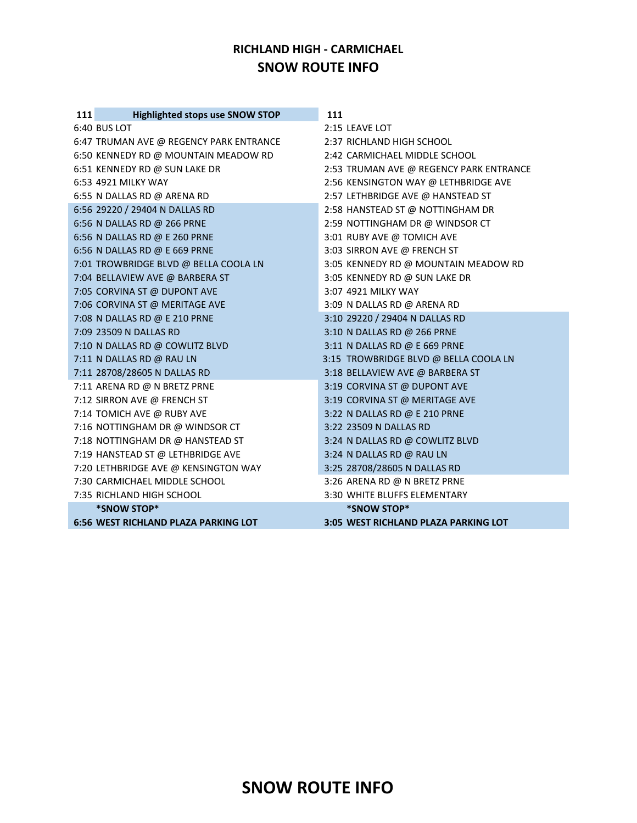#### **RICHLAND HIGH - CARMICHAEL SNOW ROUTE INFO**

| <b>Highlighted stops use SNOW STOP</b><br>111 | 111                                     |
|-----------------------------------------------|-----------------------------------------|
| 6:40 BUS LOT                                  | 2:15 LEAVE LOT                          |
| 6:47 TRUMAN AVE @ REGENCY PARK ENTRANCE       | 2:37 RICHLAND HIGH SCHOOL               |
| 6:50 KENNEDY RD @ MOUNTAIN MEADOW RD          | 2:42 CARMICHAEL MIDDLE SCHOOL           |
| 6:51 KENNEDY RD @ SUN LAKE DR                 | 2:53 TRUMAN AVE @ REGENCY PARK ENTRANCE |
| 6:53 4921 MILKY WAY                           | 2:56 KENSINGTON WAY @ LETHBRIDGE AVE    |
| 6:55 N DALLAS RD @ ARENA RD                   | 2:57 LETHBRIDGE AVE @ HANSTEAD ST       |
| 6:56 29220 / 29404 N DALLAS RD                | 2:58 HANSTEAD ST @ NOTTINGHAM DR        |
| 6:56 N DALLAS RD @ 266 PRNE                   | 2:59 NOTTINGHAM DR @ WINDSOR CT         |
| 6:56 N DALLAS RD @ E 260 PRNE                 | 3:01 RUBY AVE @ TOMICH AVE              |
| 6:56 N DALLAS RD @ E 669 PRNE                 | 3:03 SIRRON AVE @ FRENCH ST             |
| 7:01 TROWBRIDGE BLVD @ BELLA COOLA LN         | 3:05 KENNEDY RD @ MOUNTAIN MEADOW RD    |
| 7:04 BELLAVIEW AVE @ BARBERA ST               | 3:05 KENNEDY RD @ SUN LAKE DR           |
| 7:05 CORVINA ST @ DUPONT AVE                  | 3:07 4921 MILKY WAY                     |
| 7:06 CORVINA ST @ MERITAGE AVE                | 3:09 N DALLAS RD @ ARENA RD             |
| 7:08 N DALLAS RD @ E 210 PRNE                 | 3:10 29220 / 29404 N DALLAS RD          |
| 7:09 23509 N DALLAS RD                        | 3:10 N DALLAS RD @ 266 PRNE             |
| 7:10 N DALLAS RD @ COWLITZ BLVD               | 3:11 N DALLAS RD @ E 669 PRNE           |
| 7:11 N DALLAS RD @ RAU LN                     | 3:15 TROWBRIDGE BLVD @ BELLA COOLA LN   |
| 7:11 28708/28605 N DALLAS RD                  | 3:18 BELLAVIEW AVE @ BARBERA ST         |
| 7:11 ARENA RD @ N BRETZ PRNE                  | 3:19 CORVINA ST @ DUPONT AVE            |
| 7:12 SIRRON AVE @ FRENCH ST                   | 3:19 CORVINA ST @ MERITAGE AVE          |
| 7:14 TOMICH AVE @ RUBY AVE                    | 3:22 N DALLAS RD @ E 210 PRNE           |
| 7:16 NOTTINGHAM DR @ WINDSOR CT               | 3:22 23509 N DALLAS RD                  |
| 7:18 NOTTINGHAM DR @ HANSTEAD ST              | 3:24 N DALLAS RD @ COWLITZ BLVD         |
| 7:19 HANSTEAD ST @ LETHBRIDGE AVE             | 3:24 N DALLAS RD @ RAU LN               |
| 7:20 LETHBRIDGE AVE @ KENSINGTON WAY          | 3:25 28708/28605 N DALLAS RD            |
| 7:30 CARMICHAEL MIDDLE SCHOOL                 | 3:26 ARENA RD @ N BRETZ PRNE            |
| 7:35 RICHLAND HIGH SCHOOL                     | 3:30 WHITE BLUFFS ELEMENTARY            |
| *SNOW STOP*                                   | *SNOW STOP*                             |
| <b>6:56 WEST RICHLAND PLAZA PARKING LOT</b>   | 3:05 WEST RICHLAND PLAZA PARKING LOT    |

## **SNOW ROUTE INFO**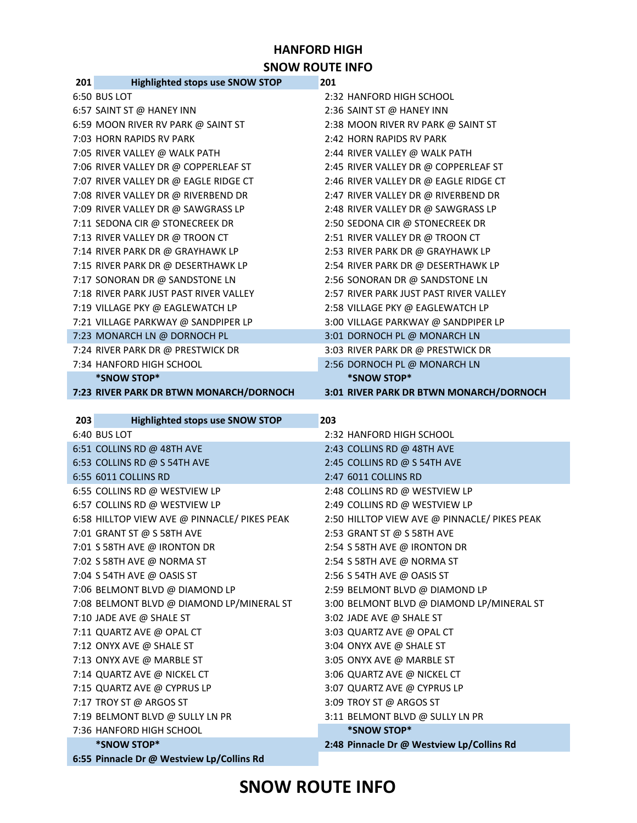# **SNOW ROUTE INFO**

| 7:34 HANFORD HIGH SCHOOL                      | 2:56 DORNOCH PL @ MONARCH LN                 |
|-----------------------------------------------|----------------------------------------------|
| *SNOW STOP*                                   | *SNOW STOP*                                  |
| 7:23 RIVER PARK DR BTWN MONARCH/DORNOCH       | 3:01 RIVER PARK DR BTWN MONARCH/DORNOCH      |
|                                               |                                              |
| <b>Highlighted stops use SNOW STOP</b><br>203 | 203                                          |
| 6:40 BUS LOT                                  | 2:32 HANFORD HIGH SCHOOL                     |
| 6:51 COLLINS RD @ 48TH AVE                    | 2:43 COLLINS RD @ 48TH AVE                   |
| 6:53 COLLINS RD @ S 54TH AVE                  | 2:45 COLLINS RD @ S 54TH AVE                 |
| 6:55 6011 COLLINS RD                          | 2:47 6011 COLLINS RD                         |
| 6:55 COLLINS RD @ WESTVIEW LP                 | 2:48 COLLINS RD @ WESTVIEW LP                |
| 6:57 COLLINS RD @ WESTVIEW LP                 | 2:49 COLLINS RD @ WESTVIEW LP                |
| 6:58 HILLTOP VIEW AVE @ PINNACLE/ PIKES PEAK  | 2:50 HILLTOP VIEW AVE @ PINNACLE/ PIKES PEAK |
| 7:01 GRANT ST @ S 58TH AVE                    | 2:53 GRANT ST @ S 58TH AVE                   |
| 7:01 S 58TH AVE @ IRONTON DR                  | 2:54 S 58TH AVE @ IRONTON DR                 |
| 7:02 S 58TH AVE @ NORMA ST                    | 2:54 S 58TH AVE @ NORMA ST                   |
| 7:04 S 54TH AVE @ OASIS ST                    | 2:56 S 54TH AVE @ OASIS ST                   |
| 7:06 BELMONT BLVD @ DIAMOND LP                | 2:59 BELMONT BLVD @ DIAMOND LP               |
| 7:08 BELMONT BLVD @ DIAMOND LP/MINERAL ST     | 3:00 BELMONT BLVD @ DIAMOND LP/MINERAL ST    |
| 7:10 JADE AVE @ SHALE ST                      | 3:02 JADE AVE @ SHALE ST                     |
| 7:11 QUARTZ AVE @ OPAL CT                     | 3:03 QUARTZ AVE @ OPAL CT                    |
| 7:12 ONYX AVE @ SHALE ST                      | 3:04 ONYX AVE @ SHALE ST                     |
| 7:13 ONYX AVE @ MARBLE ST                     | 3:05 ONYX AVE @ MARBLE ST                    |
| 7:14 QUARTZ AVE @ NICKEL CT                   | 3:06 QUARTZ AVE @ NICKEL CT                  |
| 7:15 QUARTZ AVE @ CYPRUS LP                   | 3:07 QUARTZ AVE @ CYPRUS LP                  |
| 7:17 TROY ST @ ARGOS ST                       | 3:09 TROY ST @ ARGOS ST                      |
| 7:19 BELMONT BLVD @ SULLY LN PR               | 3:11 BELMONT BLVD @ SULLY LN PR              |
| 7:36 HANFORD HIGH SCHOOL                      | *SNOW STOP*                                  |
| *SNOW STOP*                                   | 2:48 Pinnacle Dr @ Westview Lp/Collins Rd    |
| 6:55 Pinnacle Dr @ Westview Lp/Collins Rd     |                                              |

| <b>Highlighted stops use SNOW STOP</b><br>201 | 201                                    |
|-----------------------------------------------|----------------------------------------|
| 6:50 BUS LOT                                  | 2:32 HANFORD HIGH SCHOOL               |
| 6:57 SAINT ST @ HANEY INN                     | 2:36 SAINT ST @ HANEY INN              |
| 6:59 MOON RIVER RV PARK @ SAINT ST            | 2:38 MOON RIVER RV PARK @ SAINT ST     |
| 7:03 HORN RAPIDS RV PARK                      | 2:42 HORN RAPIDS RV PARK               |
| 7:05 RIVER VALLEY @ WALK PATH                 | 2:44 RIVER VALLEY @ WALK PATH          |
| 7:06 RIVER VALLEY DR @ COPPERLEAF ST          | 2:45 RIVER VALLEY DR @ COPPERLEAF ST   |
| 7:07 RIVER VALLEY DR @ EAGLE RIDGE CT         | 2:46 RIVER VALLEY DR @ EAGLE RIDGE CT  |
| 7:08 RIVER VALLEY DR @ RIVERBEND DR           | 2:47 RIVER VALLEY DR @ RIVERBEND DR    |
| 7:09 RIVER VALLEY DR @ SAWGRASS LP            | 2:48 RIVER VALLEY DR @ SAWGRASS LP     |
| 7:11 SEDONA CIR @ STONECREEK DR               | 2:50 SEDONA CIR @ STONECREEK DR        |
| 7:13 RIVER VALLEY DR @ TROON CT               | 2:51 RIVER VALLEY DR @ TROON CT        |
| 7:14 RIVER PARK DR @ GRAYHAWK LP              | 2:53 RIVER PARK DR @ GRAYHAWK LP       |
| 7:15 RIVER PARK DR @ DESERTHAWK LP            | 2:54 RIVER PARK DR @ DESERTHAWK LP     |
| 7:17 SONORAN DR @ SANDSTONE LN                | 2:56 SONORAN DR @ SANDSTONE LN         |
| 7:18 RIVER PARK JUST PAST RIVER VALLEY        | 2:57 RIVER PARK JUST PAST RIVER VALLEY |
| 7:19 VILLAGE PKY @ EAGLEWATCH LP              | 2:58 VILLAGE PKY @ EAGLEWATCH LP       |
| 7:21 VILLAGE PARKWAY @ SANDPIPER LP           | 3:00 VILLAGE PARKWAY @ SANDPIPER LP    |
| 7:23 MONARCH LN @ DORNOCH PL                  | 3:01 DORNOCH PL @ MONARCH LN           |
| 7:24 RIVER PARK DR @ PRESTWICK DR             | 3:03 RIVER PARK DR @ PRESTWICK DR      |
| 7:34 HANFORD HIGH SCHOOL                      | 2:56 DORNOCH PL @ MONARCH LN           |
| *SNOW STOP*                                   | *SNOW STOP*                            |

**HANFORD HIGH SNOW ROUTE INFO**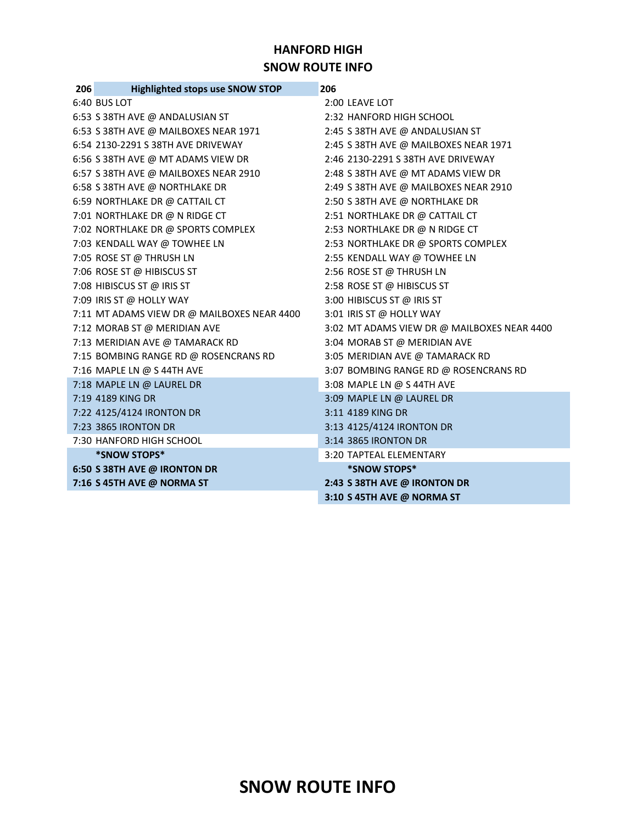#### **HANFORD HIGH SNOW ROUTE INFO**

| 206 | <b>Highlighted stops use SNOW STOP</b>      | 206                                         |
|-----|---------------------------------------------|---------------------------------------------|
|     | 6:40 BUS LOT                                | 2:00 LEAVE LOT                              |
|     | 6:53 S 38TH AVE @ ANDALUSIAN ST             | 2:32 HANFORD HIGH SCHOOL                    |
|     | 6:53 S 38TH AVE @ MAILBOXES NEAR 1971       | 2:45 S 38TH AVE @ ANDALUSIAN ST             |
|     | 6:54 2130-2291 S 38TH AVE DRIVEWAY          | 2:45 S 38TH AVE @ MAILBOXES NEAR 1971       |
|     | 6:56 S 38TH AVE @ MT ADAMS VIEW DR          | 2:46 2130-2291 S 38TH AVE DRIVEWAY          |
|     | 6:57 S 38TH AVE @ MAILBOXES NEAR 2910       | 2:48 S 38TH AVE @ MT ADAMS VIEW DR          |
|     | 6:58 S 38TH AVE @ NORTHLAKE DR              | 2:49 S 38TH AVE @ MAILBOXES NEAR 2910       |
|     | 6:59 NORTHLAKE DR @ CATTAIL CT              | 2:50 S 38TH AVE @ NORTHLAKE DR              |
|     | 7:01 NORTHLAKE DR @ N RIDGE CT              | 2:51 NORTHLAKE DR @ CATTAIL CT              |
|     | 7:02 NORTHLAKE DR @ SPORTS COMPLEX          | 2:53 NORTHLAKE DR @ N RIDGE CT              |
|     | 7:03 KENDALL WAY @ TOWHEE LN                | 2:53 NORTHLAKE DR @ SPORTS COMPLEX          |
|     | 7:05 ROSE ST @ THRUSH LN                    | 2:55 KENDALL WAY @ TOWHEE LN                |
|     | 7:06 ROSE ST @ HIBISCUS ST                  | 2:56 ROSE ST @ THRUSH LN                    |
|     | 7:08 HIBISCUS ST @ IRIS ST                  | 2:58 ROSE ST @ HIBISCUS ST                  |
|     | 7:09 IRIS ST @ HOLLY WAY                    | 3:00 HIBISCUS ST @ IRIS ST                  |
|     | 7:11 MT ADAMS VIEW DR @ MAILBOXES NEAR 4400 | 3:01 IRIS ST @ HOLLY WAY                    |
|     | 7:12 MORAB ST @ MERIDIAN AVE                | 3:02 MT ADAMS VIEW DR @ MAILBOXES NEAR 4400 |
|     | 7:13 MERIDIAN AVE @ TAMARACK RD             | 3:04 MORAB ST @ MERIDIAN AVE                |
|     | 7:15 BOMBING RANGE RD @ ROSENCRANS RD       | 3:05 MERIDIAN AVE @ TAMARACK RD             |
|     | 7:16 MAPLE LN @ S 44TH AVE                  | 3:07 BOMBING RANGE RD @ ROSENCRANS RD       |
|     | 7:18 MAPLE LN @ LAUREL DR                   | 3:08 MAPLE LN @ S 44TH AVE                  |
|     | 7:19 4189 KING DR                           | 3:09 MAPLE LN @ LAUREL DR                   |
|     | 7:22 4125/4124 IRONTON DR                   | 3:11 4189 KING DR                           |
|     | 7:23 3865 IRONTON DR                        | 3:13 4125/4124 IRONTON DR                   |
|     | 7:30 HANFORD HIGH SCHOOL                    | 3:14 3865 IRONTON DR                        |
|     | *SNOW STOPS*                                | 3:20 TAPTEAL ELEMENTARY                     |
|     | 6:50 S 38TH AVE @ IRONTON DR                | *SNOW STOPS*                                |
|     | 7:16 S 45TH AVE @ NORMA ST                  | 2:43 S 38TH AVE @ IRONTON DR                |
|     |                                             | 3:10 S 45TH AVE @ NORMA ST                  |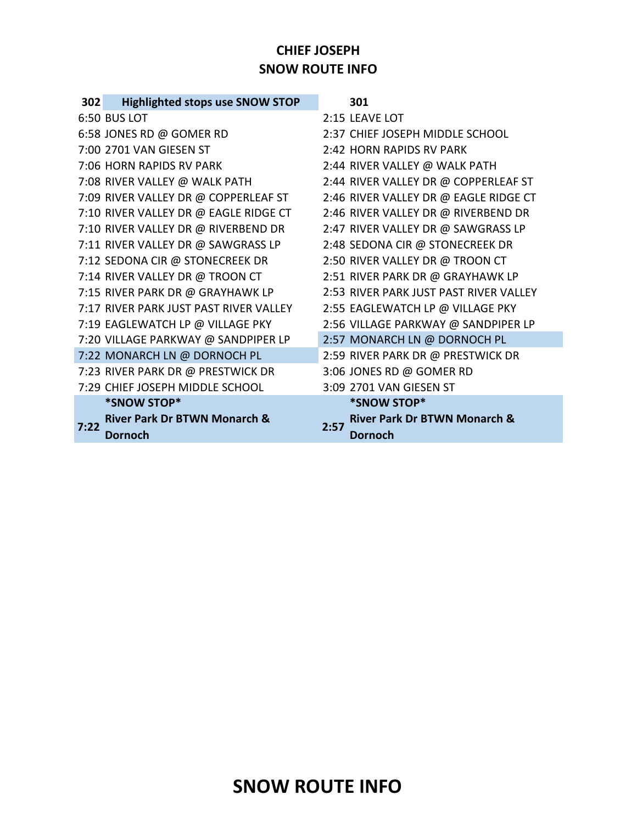### **CHIEF JOSEPH SNOW ROUTE INFO**

| 302  | <b>Highlighted stops use SNOW STOP</b>             | 301                                                               |
|------|----------------------------------------------------|-------------------------------------------------------------------|
|      | 6:50 BUS LOT                                       | 2:15 LEAVE LOT                                                    |
|      | 6:58 JONES RD @ GOMER RD                           | 2:37 CHIEF JOSEPH MIDDLE SCHOOL                                   |
|      | 7:00 2701 VAN GIESEN ST                            | 2:42 HORN RAPIDS RV PARK                                          |
|      | 7:06 HORN RAPIDS RV PARK                           | 2:44 RIVER VALLEY @ WALK PATH                                     |
|      | 7:08 RIVER VALLEY @ WALK PATH                      | 2:44 RIVER VALLEY DR @ COPPERLEAF ST                              |
|      | 7:09 RIVER VALLEY DR @ COPPERLEAF ST               | 2:46 RIVER VALLEY DR @ EAGLE RIDGE CT                             |
|      | 7:10 RIVER VALLEY DR @ EAGLE RIDGE CT              | 2:46 RIVER VALLEY DR @ RIVERBEND DR                               |
|      | 7:10 RIVER VALLEY DR @ RIVERBEND DR                | 2:47 RIVER VALLEY DR @ SAWGRASS LP                                |
|      | 7:11 RIVER VALLEY DR @ SAWGRASS LP                 | 2:48 SEDONA CIR @ STONECREEK DR                                   |
|      | 7:12 SEDONA CIR @ STONECREEK DR                    | 2:50 RIVER VALLEY DR @ TROON CT                                   |
|      | 7:14 RIVER VALLEY DR @ TROON CT                    | 2:51 RIVER PARK DR @ GRAYHAWK LP                                  |
|      | 7:15 RIVER PARK DR @ GRAYHAWK LP                   | 2:53 RIVER PARK JUST PAST RIVER VALLEY                            |
|      | 7:17 RIVER PARK JUST PAST RIVER VALLEY             | 2:55 EAGLEWATCH LP @ VILLAGE PKY                                  |
|      | 7:19 EAGLEWATCH LP @ VILLAGE PKY                   | 2:56 VILLAGE PARKWAY @ SANDPIPER LP                               |
|      | 7:20 VILLAGE PARKWAY @ SANDPIPER LP                | 2:57 MONARCH LN @ DORNOCH PL                                      |
|      | 7:22 MONARCH LN @ DORNOCH PL                       | 2:59 RIVER PARK DR @ PRESTWICK DR                                 |
|      | 7:23 RIVER PARK DR @ PRESTWICK DR                  | 3:06 JONES RD @ GOMER RD                                          |
|      | 7:29 CHIEF JOSEPH MIDDLE SCHOOL                    | 3:09 2701 VAN GIESEN ST                                           |
|      | *SNOW STOP*                                        | *SNOW STOP*                                                       |
| 7:22 | <b>River Park Dr BTWN Monarch &amp;</b><br>Dornoch | <b>River Park Dr BTWN Monarch &amp;</b><br>2:57<br><b>Dornoch</b> |
|      |                                                    |                                                                   |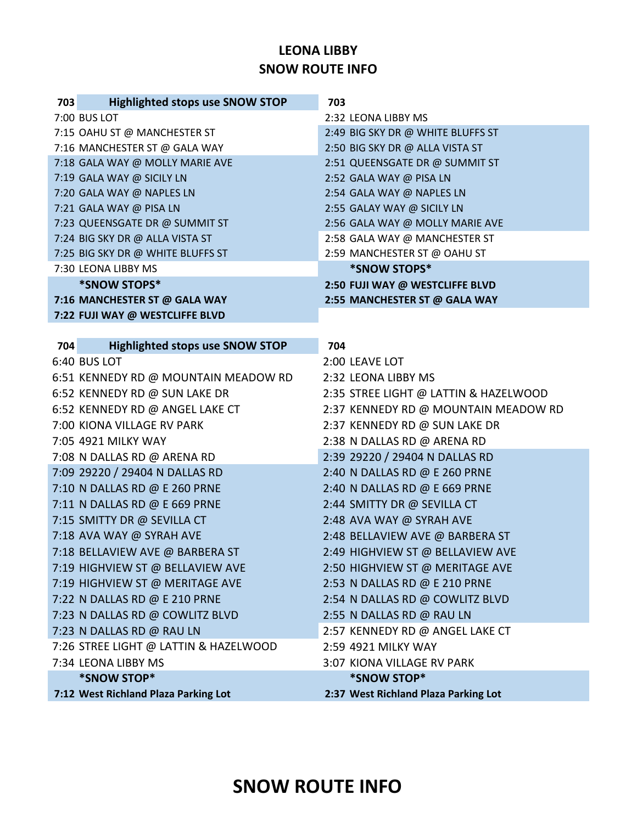### **LEONA LIBBY SNOW ROUTE INFO**

| 703 | <b>Highlighted stops use SNOW STOP</b> | 703                                   |
|-----|----------------------------------------|---------------------------------------|
|     | 7:00 BUS LOT                           | 2:32 LEONA LIBBY MS                   |
|     | 7:15 OAHU ST @ MANCHESTER ST           | 2:49 BIG SKY DR @ WHITE BLUFFS ST     |
|     | 7:16 MANCHESTER ST @ GALA WAY          | 2:50 BIG SKY DR @ ALLA VISTA ST       |
|     | 7:18 GALA WAY @ MOLLY MARIE AVE        | 2:51 QUEENSGATE DR @ SUMMIT ST        |
|     | 7:19 GALA WAY @ SICILY LN              | 2:52 GALA WAY @ PISA LN               |
|     | 7:20 GALA WAY @ NAPLES LN              | 2:54 GALA WAY @ NAPLES LN             |
|     | 7:21 GALA WAY @ PISA LN                | 2:55 GALAY WAY @ SICILY LN            |
|     | 7:23 QUEENSGATE DR @ SUMMIT ST         | 2:56 GALA WAY @ MOLLY MARIE AVE       |
|     | 7:24 BIG SKY DR @ ALLA VISTA ST        | 2:58 GALA WAY @ MANCHESTER ST         |
|     | 7:25 BIG SKY DR @ WHITE BLUFFS ST      | 2:59 MANCHESTER ST @ OAHU ST          |
|     | 7:30 LEONA LIBBY MS                    | *SNOW STOPS*                          |
|     | *SNOW STOPS*                           | 2:50 FUJI WAY @ WESTCLIFFE BLVD       |
|     | 7:16 MANCHESTER ST @ GALA WAY          | 2:55 MANCHESTER ST @ GALA WAY         |
|     | 7:22 FUJI WAY @ WESTCLIFFE BLVD        |                                       |
| 704 | <b>Highlighted stops use SNOW STOP</b> | 704                                   |
|     | 6:40 BUS LOT                           | 2:00 LEAVE LOT                        |
|     | 6:51 KENNEDY RD @ MOUNTAIN MEADOW RD   | 2:32 LEONA LIBBY MS                   |
|     | 6:52 KENNEDY RD @ SUN LAKE DR          | 2:35 STREE LIGHT @ LATTIN & HAZELWOOD |
|     | 6:52 KENNEDY RD @ ANGEL LAKE CT        | 2:37 KENNEDY RD @ MOUNTAIN MEADOW RD  |
|     | 7:00 KIONA VILLAGE RV PARK             | 2:37 KENNEDY RD @ SUN LAKE DR         |
|     | 7:05 4921 MILKY WAY                    | 2:38 N DALLAS RD @ ARENA RD           |
|     | 7:08 N DALLAS RD @ ARENA RD            | 2:39 29220 / 29404 N DALLAS RD        |
|     | 7:09 29220 / 29404 N DALLAS RD         | 2:40 N DALLAS RD @ E 260 PRNE         |
|     | 7:10 N DALLAS RD @ E 260 PRNE          | 2:40 N DALLAS RD @ E 669 PRNE         |
|     | 7:11 N DALLAS RD @ E 669 PRNE          | 2:44 SMITTY DR @ SEVILLA CT           |
|     | 7:15 SMITTY DR @ SEVILLA CT            | 2:48 AVA WAY @ SYRAH AVE              |
|     | 7:18 AVA WAY @ SYRAH AVE               | 2:48 BELLAVIEW AVE @ BARBERA ST       |
|     | 7:18 BELLAVIEW AVE @ BARBERA ST        | 2:49 HIGHVIEW ST @ BELLAVIEW AVE      |
|     | 7:19 HIGHVIEW ST @ BELLAVIEW AVE       | 2:50 HIGHVIEW ST @ MERITAGE AVE       |
|     | 7:19 HIGHVIEW ST @ MERITAGE AVE        | 2:53 N DALLAS RD @ E 210 PRNE         |
|     | 7:22 N DALLAS RD @ E 210 PRNE          | 2:54 N DALLAS RD @ COWLITZ BLVD       |
|     | 7:23 N DALLAS RD @ COWLITZ BLVD        | 2:55 N DALLAS RD @ RAU LN             |
|     | 7:23 N DALLAS RD @ RAU LN              | 2:57 KENNEDY RD @ ANGEL LAKE CT       |
|     | 7:26 STREE LIGHT @ LATTIN & HAZELWOOD  | 2:59 4921 MILKY WAY                   |
|     | 7:34 LEONA LIBBY MS                    | 3:07 KIONA VILLAGE RV PARK            |
|     | *SNOW STOP*                            | *SNOW STOP*                           |
|     | 7:12 West Richland Plaza Parking Lot   | 2:37 West Richland Plaza Parking Lot  |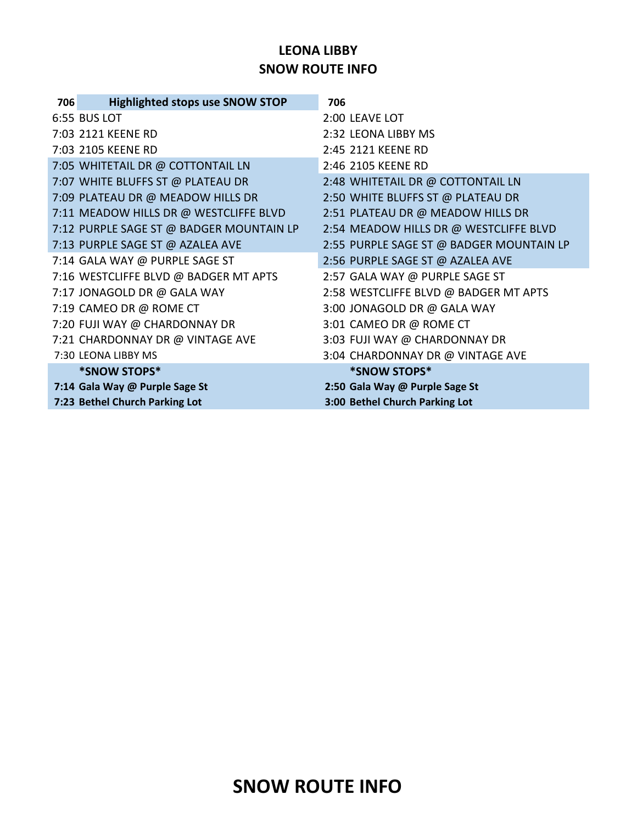### **LEONA LIBBY SNOW ROUTE INFO**

| 706 | <b>Highlighted stops use SNOW STOP</b>   | 706                                      |
|-----|------------------------------------------|------------------------------------------|
|     | 6:55 BUS LOT                             | 2:00 LEAVE LOT                           |
|     | 7:03 2121 KEENE RD                       | 2:32 LEONA LIBBY MS                      |
|     | 7:03 2105 KEENE RD                       | 2:45 2121 KEENE RD                       |
|     | 7:05 WHITETAIL DR @ COTTONTAIL LN        | 2:46 2105 KEENE RD                       |
|     | 7:07 WHITE BLUFFS ST @ PLATEAU DR        | 2:48 WHITETAIL DR @ COTTONTAIL LN        |
|     | 7:09 PLATEAU DR @ MEADOW HILLS DR        | 2:50 WHITE BLUFFS ST @ PLATEAU DR        |
|     | 7:11 MEADOW HILLS DR @ WESTCLIFFE BLVD   | 2:51 PLATEAU DR @ MEADOW HILLS DR        |
|     | 7:12 PURPLE SAGE ST @ BADGER MOUNTAIN LP | 2:54 MEADOW HILLS DR @ WESTCLIFFE BLVD   |
|     | 7:13 PURPLE SAGE ST @ AZALEA AVE         | 2:55 PURPLE SAGE ST @ BADGER MOUNTAIN LP |
|     | 7:14 GALA WAY @ PURPLE SAGE ST           | 2:56 PURPLE SAGE ST @ AZALEA AVE         |
|     | 7:16 WESTCLIFFE BLVD @ BADGER MT APTS    | 2:57 GALA WAY @ PURPLE SAGE ST           |
|     | 7:17 JONAGOLD DR @ GALA WAY              | 2:58 WESTCLIFFE BLVD @ BADGER MT APTS    |
|     | 7:19 CAMEO DR @ ROME CT                  | 3:00 JONAGOLD DR @ GALA WAY              |
|     | 7:20 FUJI WAY @ CHARDONNAY DR            | 3:01 CAMEO DR @ ROME CT                  |
|     | 7:21 CHARDONNAY DR @ VINTAGE AVE         | 3:03 FUJI WAY @ CHARDONNAY DR            |
|     | 7:30 LEONA LIBBY MS                      | 3:04 CHARDONNAY DR @ VINTAGE AVE         |
|     | *SNOW STOPS*                             | *SNOW STOPS*                             |
|     | 7:14 Gala Way @ Purple Sage St           | 2:50 Gala Way @ Purple Sage St           |
|     | 7:23 Bethel Church Parking Lot           | 3:00 Bethel Church Parking Lot           |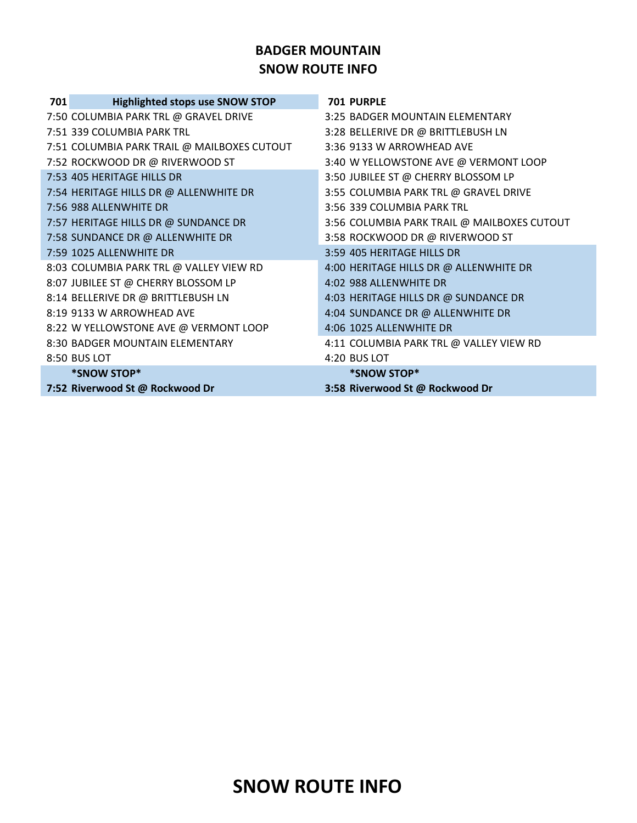#### **BADGER MOUNTAIN SNOW ROUTE INFO**

| 701 | <b>Highlighted stops use SNOW STOP</b>      | <b>701 PURPLE</b>                           |
|-----|---------------------------------------------|---------------------------------------------|
|     | 7:50 COLUMBIA PARK TRL @ GRAVEL DRIVE       | 3:25 BADGER MOUNTAIN ELEMENTARY             |
|     | 7:51 339 COLUMBIA PARK TRL                  | 3:28 BELLERIVE DR @ BRITTLEBUSH LN          |
|     | 7:51 COLUMBIA PARK TRAIL @ MAILBOXES CUTOUT | 3:36 9133 W ARROWHEAD AVE                   |
|     | 7:52 ROCKWOOD DR @ RIVERWOOD ST             | 3:40 W YELLOWSTONE AVE @ VERMONT LOOP       |
|     | 7:53 405 HERITAGE HILLS DR                  | 3:50 JUBILEE ST @ CHERRY BLOSSOM LP         |
|     | 7:54 HERITAGE HILLS DR @ ALLENWHITE DR      | 3:55 COLUMBIA PARK TRL @ GRAVEL DRIVE       |
|     | 7:56 988 ALLENWHITE DR                      | 3:56 339 COLUMBIA PARK TRL                  |
|     | 7:57 HERITAGE HILLS DR @ SUNDANCE DR        | 3:56 COLUMBIA PARK TRAIL @ MAILBOXES CUTOUT |
|     | 7:58 SUNDANCE DR @ ALLENWHITE DR            | 3:58 ROCKWOOD DR @ RIVERWOOD ST             |
|     | 7:59 1025 ALLENWHITE DR                     | 3:59 405 HERITAGE HILLS DR                  |
|     | 8:03 COLUMBIA PARK TRL @ VALLEY VIEW RD     | 4:00 HERITAGE HILLS DR @ ALLENWHITE DR      |
|     | 8:07 JUBILEE ST @ CHERRY BLOSSOM LP         | 4:02 988 ALLENWHITE DR                      |
|     | 8:14 BELLERIVE DR @ BRITTLEBUSH LN          | 4:03 HERITAGE HILLS DR @ SUNDANCE DR        |
|     | 8:19 9133 W ARROWHEAD AVE                   | 4:04 SUNDANCE DR @ ALLENWHITE DR            |
|     | 8:22 W YELLOWSTONE AVE @ VERMONT LOOP       | 4:06 1025 ALLENWHITE DR                     |
|     | 8:30 BADGER MOUNTAIN ELEMENTARY             | 4:11 COLUMBIA PARK TRL @ VALLEY VIEW RD     |
|     | 8:50 BUS LOT                                | 4:20 BUS LOT                                |
|     | *SNOW STOP*                                 | *SNOW STOP*                                 |
|     | 7:52 Riverwood St @ Rockwood Dr             | 3:58 Riverwood St @ Rockwood Dr             |
|     |                                             |                                             |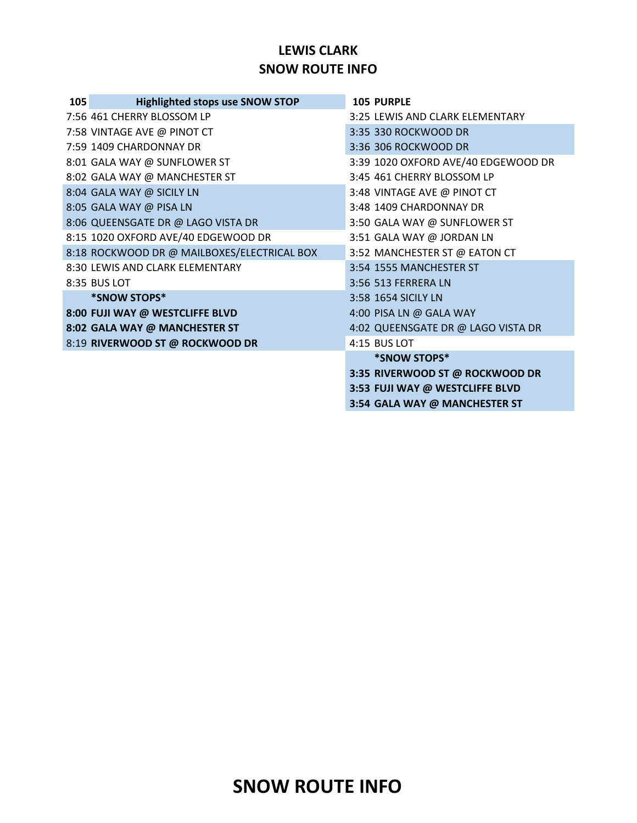### **LEWIS CLARK SNOW ROUTE INFO**

| 105 | <b>Highlighted stops use SNOW STOP</b>      | <b>105 PURPLE</b>                   |
|-----|---------------------------------------------|-------------------------------------|
|     | 7:56 461 CHERRY BLOSSOM LP                  | 3:25 LEWIS AND CLARK ELEMENTARY     |
|     | 7:58 VINTAGE AVE @ PINOT CT                 | 3:35 330 ROCKWOOD DR                |
|     | 7:59 1409 CHARDONNAY DR                     | 3:36 306 ROCKWOOD DR                |
|     | 8:01 GALA WAY @ SUNFLOWER ST                | 3:39 1020 OXFORD AVE/40 EDGEWOOD DR |
|     | 8:02 GALA WAY @ MANCHESTER ST               | 3:45 461 CHERRY BLOSSOM LP          |
|     | 8:04 GALA WAY @ SICILY LN                   | 3:48 VINTAGE AVE @ PINOT CT         |
|     | 8:05 GALA WAY @ PISA LN                     | 3:48 1409 CHARDONNAY DR             |
|     | 8:06 QUEENSGATE DR @ LAGO VISTA DR          | 3:50 GALA WAY @ SUNFLOWER ST        |
|     | 8:15 1020 OXFORD AVE/40 EDGEWOOD DR         | 3:51 GALA WAY @ JORDAN LN           |
|     | 8:18 ROCKWOOD DR @ MAILBOXES/ELECTRICAL BOX | 3:52 MANCHESTER ST @ EATON CT       |
|     | 8:30 LEWIS AND CLARK ELEMENTARY             | 3:54 1555 MANCHESTER ST             |
|     | 8:35 BUS LOT                                | 3:56 513 FERRERA LN                 |
|     | *SNOW STOPS*                                | 3:58 1654 SICILY LN                 |
|     | 8:00 FUJI WAY @ WESTCLIFFE BLVD             | 4:00 PISA LN @ GALA WAY             |
|     | 8:02 GALA WAY @ MANCHESTER ST               | 4:02 QUEENSGATE DR @ LAGO VISTA DR  |
|     | 8:19 RIVERWOOD ST @ ROCKWOOD DR             | 4:15 BUS LOT                        |
|     |                                             | *SNOW STOPS*                        |
|     |                                             | 3:35 RIVERWOOD ST @ ROCKWOOD DR     |
|     |                                             | 3:53 FUJI WAY @ WESTCLIFFE BLVD     |
|     |                                             | 3:54 GALA WAY @ MANCHESTER ST       |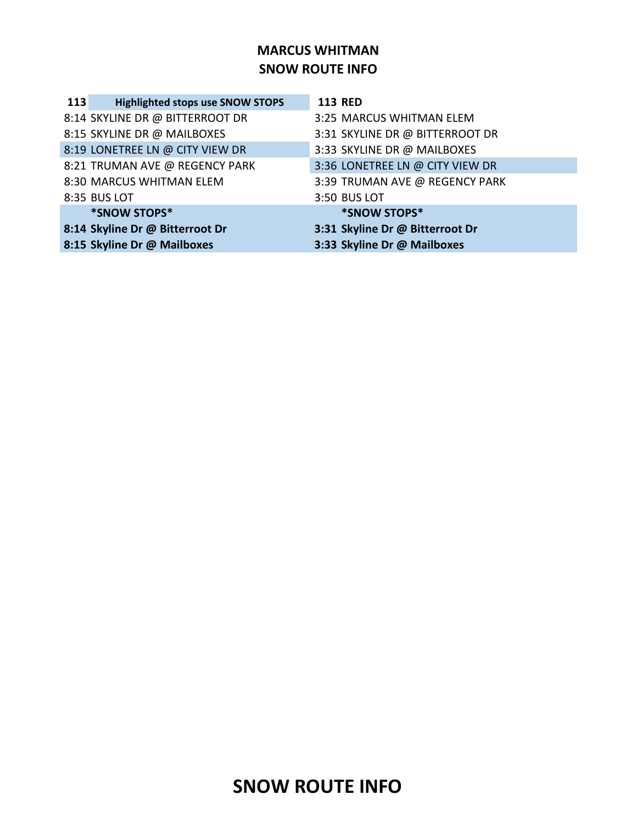### **MARCUS WHITMAN SNOW ROUTE INFO**

| 113 | <b>Highlighted stops use SNOW STOPS</b> | <b>113 RED</b>                  |
|-----|-----------------------------------------|---------------------------------|
|     | 8:14 SKYLINE DR @ BITTERROOT DR         | 3:25 MARCUS WHITMAN ELEM        |
|     | 8:15 SKYLINE DR @ MAILBOXES             | 3:31 SKYLINE DR @ BITTERROOT DR |
|     | 8:19 LONETREE LN @ CITY VIEW DR         | 3:33 SKYLINE DR @ MAILBOXES     |
|     | 8:21 TRUMAN AVE @ REGENCY PARK          | 3:36 LONETREE LN @ CITY VIEW DR |
|     | 8:30 MARCUS WHITMAN ELEM                | 3:39 TRUMAN AVE @ REGENCY PARK  |
|     | 8:35 BUS LOT                            | 3:50 BUS LOT                    |
|     | *SNOW STOPS*                            | *SNOW STOPS*                    |
|     | 8:14 Skyline Dr @ Bitterroot Dr         | 3:31 Skyline Dr @ Bitterroot Dr |
|     | 8:15 Skyline Dr @ Mailboxes             | 3:33 Skyline Dr @ Mailboxes     |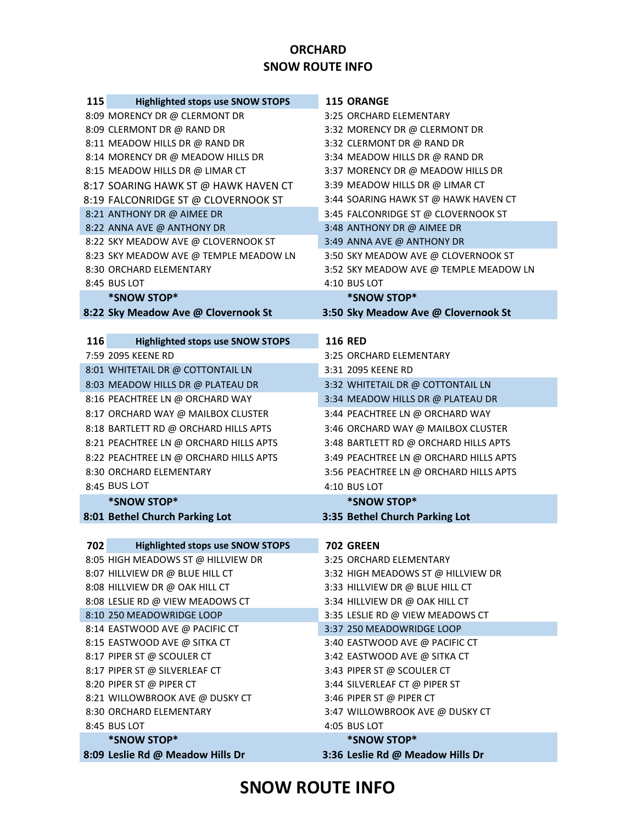#### **ORCHARD SNOW ROUTE INFO**

| 115 | <b>Highlighted stops use SNOW STOPS</b>                            | <b>115 ORANGE</b>                                                     |
|-----|--------------------------------------------------------------------|-----------------------------------------------------------------------|
|     | 8:09 MORENCY DR @ CLERMONT DR                                      | 3:25 ORCHARD ELEMENTARY                                               |
|     | 8:09 CLERMONT DR @ RAND DR                                         | 3:32 MORENCY DR @ CLERMONT DR                                         |
|     | 8:11 MEADOW HILLS DR @ RAND DR                                     | 3:32 CLERMONT DR @ RAND DR                                            |
|     | 8:14 MORENCY DR @ MEADOW HILLS DR                                  | 3:34 MEADOW HILLS DR @ RAND DR                                        |
|     | 8:15 MEADOW HILLS DR @ LIMAR CT                                    | 3:37 MORENCY DR @ MEADOW HILLS DR                                     |
|     | 8:17 SOARING HAWK ST @ HAWK HAVEN CT                               | 3:39 MEADOW HILLS DR @ LIMAR CT                                       |
|     | 8:19 FALCONRIDGE ST @ CLOVERNOOK ST                                | 3:44 SOARING HAWK ST @ HAWK HAVEN CT                                  |
|     | 8:21 ANTHONY DR @ AIMEE DR                                         | 3:45 FALCONRIDGE ST @ CLOVERNOOK ST                                   |
|     | 8:22 ANNA AVE @ ANTHONY DR                                         | 3:48 ANTHONY DR @ AIMEE DR                                            |
|     | 8:22 SKY MEADOW AVE @ CLOVERNOOK ST                                | 3:49 ANNA AVE @ ANTHONY DR                                            |
|     | 8:23 SKY MEADOW AVE @ TEMPLE MEADOW LN                             | 3:50 SKY MEADOW AVE @ CLOVERNOOK ST                                   |
|     | 8:30 ORCHARD ELEMENTARY                                            | 3:52 SKY MEADOW AVE @ TEMPLE MEADOW LN                                |
|     | 8:45 BUS LOT                                                       | 4:10 BUS LOT                                                          |
|     | *SNOW STOP*                                                        | *SNOW STOP*                                                           |
|     | 8:22 Sky Meadow Ave @ Clovernook St                                | 3:50 Sky Meadow Ave @ Clovernook St                                   |
|     |                                                                    |                                                                       |
| 116 | <b>Highlighted stops use SNOW STOPS</b>                            | <b>116 RED</b>                                                        |
|     | 7:59 2095 KEENE RD                                                 | 3:25 ORCHARD ELEMENTARY                                               |
|     | 8:01 WHITETAIL DR @ COTTONTAIL LN                                  | 3:31 2095 KEENE RD                                                    |
|     | 8:03 MEADOW HILLS DR @ PLATEAU DR                                  | 3:32 WHITETAIL DR @ COTTONTAIL LN                                     |
|     | 8:16 PEACHTREE LN @ ORCHARD WAY                                    | 3:34 MEADOW HILLS DR @ PLATEAU DR                                     |
|     | 8:17 ORCHARD WAY @ MAILBOX CLUSTER                                 | 3:44 PEACHTREE LN @ ORCHARD WAY                                       |
|     | 8:18 BARTLETT RD @ ORCHARD HILLS APTS                              | 3:46 ORCHARD WAY @ MAILBOX CLUSTER                                    |
|     | 8:21 PEACHTREE LN @ ORCHARD HILLS APTS                             | 3:48 BARTLETT RD @ ORCHARD HILLS APTS                                 |
|     | 8:22 PEACHTREE LN @ ORCHARD HILLS APTS                             | 3:49 PEACHTREE LN @ ORCHARD HILLS APTS                                |
|     | 8:30 ORCHARD ELEMENTARY                                            | 3:56 PEACHTREE LN @ ORCHARD HILLS APTS                                |
|     | 8:45 BUS LOT                                                       | 4:10 BUS LOT                                                          |
|     | *SNOW STOP*                                                        | *SNOW STOP*                                                           |
|     | 8:01 Bethel Church Parking Lot                                     | 3:35 Bethel Church Parking Lot                                        |
| 702 | <b>Highlighted stops use SNOW STOPS</b>                            | <b>702 GREEN</b>                                                      |
|     | 8:05 HIGH MEADOWS ST @ HILLVIEW DR                                 | 3:25 ORCHARD ELEMENTARY                                               |
|     |                                                                    |                                                                       |
|     | 8:07 HILLVIEW DR @ BLUE HILL CT                                    | 3:32 HIGH MEADOWS ST @ HILLVIEW DR<br>3:33 HILLVIEW DR @ BLUE HILL CT |
|     | 8:08 HILLVIEW DR @ OAK HILL CT<br>8:08 LESLIE RD @ VIEW MEADOWS CT | 3:34 HILLVIEW DR @ OAK HILL CT                                        |
|     | 8:10 250 MEADOWRIDGE LOOP                                          | 3:35 LESLIE RD @ VIEW MEADOWS CT                                      |
|     | 8:14 EASTWOOD AVE @ PACIFIC CT                                     | 3:37 250 MEADOWRIDGE LOOP                                             |
|     | 8:15 EASTWOOD AVE @ SITKA CT                                       | 3:40 EASTWOOD AVE @ PACIFIC CT                                        |
|     | 8:17 PIPER ST @ SCOULER CT                                         | 3:42 EASTWOOD AVE @ SITKA CT                                          |
|     | 8:17 PIPER ST @ SILVERLEAF CT                                      | 3:43 PIPER ST @ SCOULER CT                                            |
|     | 8:20 PIPER ST @ PIPER CT                                           | 3:44 SILVERLEAF CT @ PIPER ST                                         |
|     | 8:21 WILLOWBROOK AVE @ DUSKY CT                                    | 3:46 PIPER ST @ PIPER CT                                              |
|     | 8:30 ORCHARD ELEMENTARY                                            |                                                                       |
|     | 8:45 BUS LOT                                                       | 3:47 WILLOWBROOK AVE @ DUSKY CT<br>4:05 BUS LOT                       |
|     | *SNOW STOP*                                                        | *SNOW STOP*                                                           |
|     | 8:09 Leslie Rd @ Meadow Hills Dr                                   | 3:36 Leslie Rd @ Meadow Hills Dr                                      |
|     |                                                                    |                                                                       |

# **SNOW ROUTE INFO**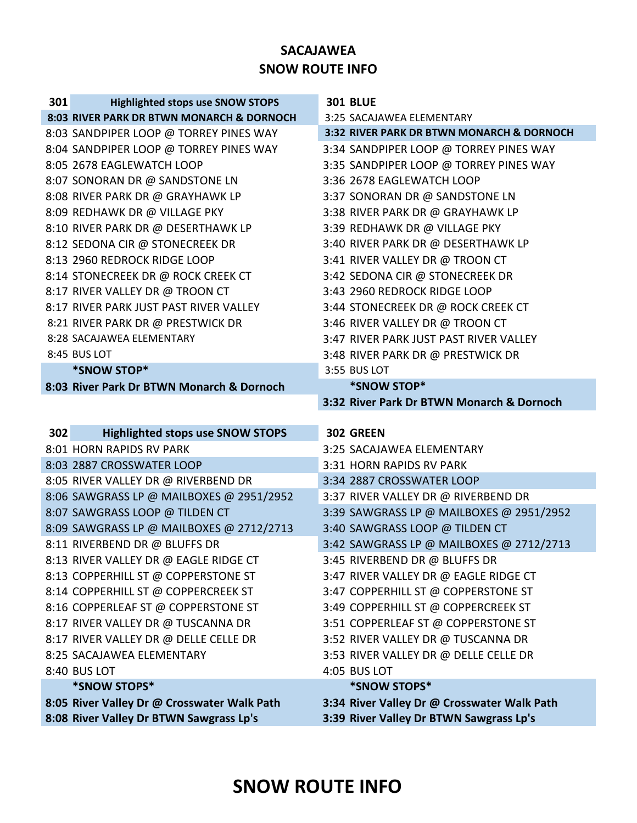## **SACAJAWEA SNOW ROUTE INFO**

| 301 | <b>Highlighted stops use SNOW STOPS</b>                     | <b>301 BLUE</b>                                             |
|-----|-------------------------------------------------------------|-------------------------------------------------------------|
|     | 8:03 RIVER PARK DR BTWN MONARCH & DORNOCH                   | 3:25 SACAJAWEA ELEMENTARY                                   |
|     | 8:03 SANDPIPER LOOP @ TORREY PINES WAY                      | 3:32 RIVER PARK DR BTWN MONARCH & DORNOCH                   |
|     | 8:04 SANDPIPER LOOP @ TORREY PINES WAY                      | 3:34 SANDPIPER LOOP @ TORREY PINES WAY                      |
|     | 8:05 2678 EAGLEWATCH LOOP                                   | 3:35 SANDPIPER LOOP @ TORREY PINES WAY                      |
|     | 8:07 SONORAN DR @ SANDSTONE LN                              | 3:36 2678 EAGLEWATCH LOOP                                   |
|     | 8:08 RIVER PARK DR @ GRAYHAWK LP                            | 3:37 SONORAN DR @ SANDSTONE LN                              |
|     | 8:09 REDHAWK DR @ VILLAGE PKY                               | 3:38 RIVER PARK DR @ GRAYHAWK LP                            |
|     | 8:10 RIVER PARK DR @ DESERTHAWK LP                          | 3:39 REDHAWK DR @ VILLAGE PKY                               |
|     | 8:12 SEDONA CIR @ STONECREEK DR                             | 3:40 RIVER PARK DR @ DESERTHAWK LP                          |
|     | 8:13 2960 REDROCK RIDGE LOOP                                | 3:41 RIVER VALLEY DR @ TROON CT                             |
|     | 8:14 STONECREEK DR @ ROCK CREEK CT                          | 3:42 SEDONA CIR @ STONECREEK DR                             |
|     | 8:17 RIVER VALLEY DR @ TROON CT                             | 3:43 2960 REDROCK RIDGE LOOP                                |
|     | 8:17 RIVER PARK JUST PAST RIVER VALLEY                      | 3:44 STONECREEK DR @ ROCK CREEK CT                          |
|     | 8:21 RIVER PARK DR @ PRESTWICK DR                           | 3:46 RIVER VALLEY DR @ TROON CT                             |
|     | 8:28 SACAJAWEA ELEMENTARY                                   | 3:47 RIVER PARK JUST PAST RIVER VALLEY                      |
|     | 8:45 BUS LOT                                                | 3:48 RIVER PARK DR @ PRESTWICK DR                           |
|     | *SNOW STOP*                                                 | 3:55 BUS LOT                                                |
|     | 8:03 River Park Dr BTWN Monarch & Dornoch                   | *SNOW STOP*                                                 |
|     |                                                             | 3:32 River Park Dr BTWN Monarch & Dornoch                   |
|     |                                                             |                                                             |
|     |                                                             |                                                             |
| 302 | <b>Highlighted stops use SNOW STOPS</b>                     | 302 GREEN                                                   |
|     | 8:01 HORN RAPIDS RV PARK                                    | 3:25 SACAJAWEA ELEMENTARY                                   |
|     | 8:03 2887 CROSSWATER LOOP                                   | 3:31 HORN RAPIDS RV PARK                                    |
|     | 8:05 RIVER VALLEY DR @ RIVERBEND DR                         | 3:34 2887 CROSSWATER LOOP                                   |
|     | 8:06 SAWGRASS LP @ MAILBOXES @ 2951/2952                    | 3:37 RIVER VALLEY DR @ RIVERBEND DR                         |
|     | 8:07 SAWGRASS LOOP @ TILDEN CT                              | 3:39 SAWGRASS LP @ MAILBOXES @ 2951/2952                    |
|     | 8:09 SAWGRASS LP @ MAILBOXES @ 2712/2713                    | 3:40 SAWGRASS LOOP @ TILDEN CT                              |
|     | 8:11 RIVERBEND DR @ BLUFFS DR                               | 3:42 SAWGRASS LP @ MAILBOXES @ 2712/2713                    |
|     | 8:13 RIVER VALLEY DR @ EAGLE RIDGE CT                       | 3:45 RIVERBEND DR @ BLUFFS DR                               |
|     | 8:13 COPPERHILL ST @ COPPERSTONE ST                         | 3:47 RIVER VALLEY DR @ EAGLE RIDGE CT                       |
|     | 8:14 COPPERHILL ST @ COPPERCREEK ST                         | 3:47 COPPERHILL ST @ COPPERSTONE ST                         |
|     | 8:16 COPPERLEAF ST @ COPPERSTONE ST                         | 3:49 COPPERHILL ST @ COPPERCREEK ST                         |
|     | 8:17 RIVER VALLEY DR @ TUSCANNA DR                          | 3:51 COPPERLEAF ST @ COPPERSTONE ST                         |
|     | 8:17 RIVER VALLEY DR @ DELLE CELLE DR                       | 3:52 RIVER VALLEY DR @ TUSCANNA DR                          |
|     | 8:25 SACAJAWEA ELEMENTARY                                   | 3:53 RIVER VALLEY DR @ DELLE CELLE DR                       |
|     | 8:40 BUS LOT                                                | 4:05 BUS LOT                                                |
|     | *SNOW STOPS*<br>8:05 River Valley Dr @ Crosswater Walk Path | *SNOW STOPS*<br>3:34 River Valley Dr @ Crosswater Walk Path |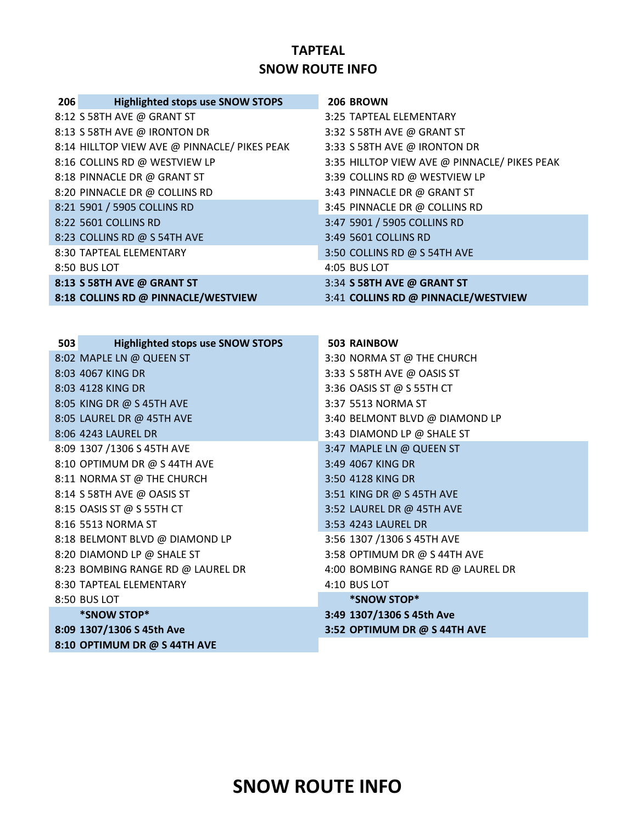### **TAPTEAL SNOW ROUTE INFO**

| 206 | <b>Highlighted stops use SNOW STOPS</b>      | 206 BROWN                                    |
|-----|----------------------------------------------|----------------------------------------------|
|     | 8:12 S 58TH AVE @ GRANT ST                   | 3:25 TAPTEAL ELEMENTARY                      |
|     | 8:13 S 58TH AVE @ IRONTON DR                 | 3:32 S 58TH AVE @ GRANT ST                   |
|     | 8:14 HILLTOP VIEW AVE @ PINNACLE/ PIKES PEAK | 3:33 S 58TH AVE @ IRONTON DR                 |
|     | 8:16 COLLINS RD @ WESTVIEW LP                | 3:35 HILLTOP VIEW AVE @ PINNACLE/ PIKES PEAK |
|     | 8:18 PINNACLE DR @ GRANT ST                  | 3:39 COLLINS RD @ WESTVIEW LP                |
|     | 8:20 PINNACLE DR @ COLLINS RD                | 3:43 PINNACLE DR @ GRANT ST                  |
|     | 8:21 5901 / 5905 COLLINS RD                  | 3:45 PINNACLE DR @ COLLINS RD                |
|     | 8:22 5601 COLLINS RD                         | 3:47 5901 / 5905 COLLINS RD                  |
|     | 8:23 COLLINS RD @ S 54TH AVE                 | 3:49 5601 COLLINS RD                         |
|     | 8:30 TAPTEAL ELEMENTARY                      | 3:50 COLLINS RD @ S 54TH AVE                 |
|     | 8:50 BUS LOT                                 | 4:05 BUS LOT                                 |
|     | 8:13 S 58TH AVE @ GRANT ST                   | 3:34 S 58TH AVE @ GRANT ST                   |
|     | 8:18 COLLINS RD @ PINNACLE/WESTVIEW          | 3:41 COLLINS RD @ PINNACLE/WESTVIEW          |
|     |                                              |                                              |
|     |                                              |                                              |
| 503 | <b>Highlighted stops use SNOW STOPS</b>      | <b>503 RAINBOW</b>                           |
|     | $8.02$ MADIFIN @ OIIFFNICT                   | $3.30$ NORMA ST @ THE CHIIRCH                |

| 8:02 MAPLE LN @ QUEEN ST          | 3:30 NORMA ST @ THE CHURCH        |
|-----------------------------------|-----------------------------------|
| 8:03 4067 KING DR                 | 3:33 S 58TH AVE @ OASIS ST        |
| 8:03 4128 KING DR                 | 3:36 OASIS ST @ S 55TH CT         |
| 8:05 KING DR @ S 45TH AVE         | 3:37 5513 NORMA ST                |
| 8:05 LAUREL DR @ 45TH AVE         | 3:40 BELMONT BLVD @ DIAMOND LP    |
| 8:06 4243 LAUREL DR               | 3:43 DIAMOND LP @ SHALE ST        |
| 8:09 1307 /1306 S 45TH AVE        | 3:47 MAPLE LN @ QUEEN ST          |
| 8:10 OPTIMUM DR @ S 44TH AVE      | 3:49 4067 KING DR                 |
| 8:11 NORMA ST @ THE CHURCH        | 3:50 4128 KING DR                 |
| 8:14 S 58TH AVE @ OASIS ST        | 3:51 KING DR @ S 45TH AVE         |
| 8:15 OASIS ST @ S 55TH CT         | 3:52 LAUREL DR @ 45TH AVE         |
| 8:16 5513 NORMA ST                | 3:53 4243 LAUREL DR               |
| 8:18 BELMONT BLVD @ DIAMOND LP    | 3:56 1307 /1306 S 45TH AVE        |
| 8:20 DIAMOND LP @ SHALE ST        | 3:58 OPTIMUM DR @ S 44TH AVE      |
| 8:23 BOMBING RANGE RD @ LAUREL DR | 4:00 BOMBING RANGE RD @ LAUREL DR |
| 8:30 TAPTEAL ELEMENTARY           | 4:10 BUS LOT                      |
| 8:50 BUS LOT                      | *SNOW STOP*                       |
| *SNOW STOP*                       | 3:49 1307/1306 S 45th Ave         |
| 8:09 1307/1306 S 45th Ave         | 3:52 OPTIMUM DR @ S 44TH AVE      |
| 8:10 OPTIMUM DR @ S 44TH AVE      |                                   |